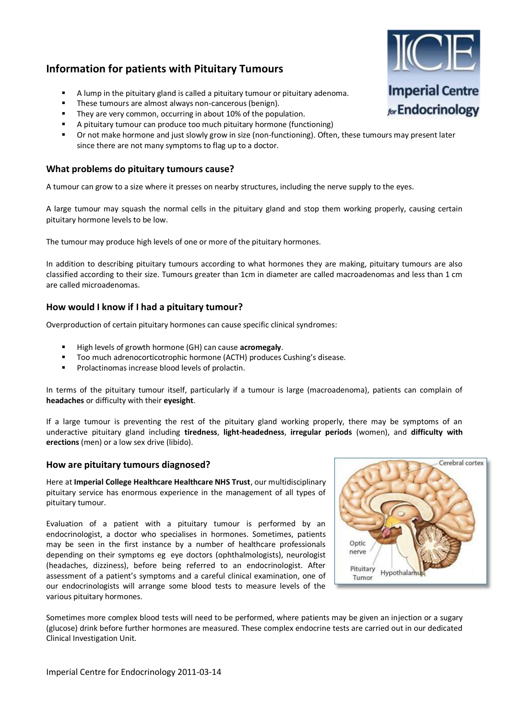# **Information for patients with Pituitary Tumours**

- A lump in th[e pituitary gland](https://sites.google.com/site/imperialendo02/for-patients/endocrine-services/pituitary-gland-disorders/the-pituitary-gland) is called a pituitary tumour or pituitary adenoma.
- **These tumours are almost always non-cancerous (benign).**
- **They are very common, occurring in about 10% of the population.**
- A pituitary tumour can produce too much pituitary hormone (functioning)
- Or not make hormone and just slowly grow in size (non-functioning). Often, these tumours may present later since there are not many symptoms to flag up to a doctor.

### **What problems do pituitary tumours cause?**

A tumour can grow to a size where it presses on nearby structures, including the nerve supply to the eyes.

A large tumour may squash the normal cells in the pituitary gland and stop them working properly, causing certain pituitary hormone levels to be low.

The tumour may produce high levels of one or more of the pituitary hormones.

In addition to describing pituitary tumours according to what hormones they are making, pituitary tumours are also classified according to their size. Tumours greater than 1cm in diameter are called macroadenomas and less than 1 cm are called microadenomas.

# **How would I know if I had a pituitary tumour?**

Overproduction of certain pituitary hormones can cause specific clinical syndromes:

- High levels of growth hormone (GH) can cause **acromegaly**.
- Too much adrenocorticotrophic hormone (ACTH) produces Cushing's disease.
- [Prolactinomas](https://sites.google.com/site/imperialendo02/for-patients/endocrine-services/pituitary-gland-disorders/the-pituitary-gland/pituitary-adenomas/prolactinoma) increase blood levels of prolactin.

In terms of the pituitary tumour itself, particularly if a tumour is large (macroadenoma), patients can complain of **headaches** or difficulty with their **eyesight**.

If a large tumour is preventing the rest of the pituitary gland working properly, there may be symptoms of an underactive pituitary gland including **tiredness**, **light-headedness**, **irregular periods** (women), and **difficulty with erections** (men) or a low sex drive (libido).

#### **How are pituitary tumours diagnosed?**

Here at **Imperial College Healthcare Healthcare NHS Trust**, our multidisciplinary pituitary service has enormous experience in the management of all types of pituitary tumour.

Evaluation of a patient with a pituitary tumour is performed by an [endocrinologist,](https://sites.google.com/site/imperialendo02/for-patients/s/endocrinology-and-diabetes-medical-consultants) a doctor who specialises in hormones. Sometimes, patients may be seen in the first instance by a number of healthcare professionals depending on their symptoms eg eye doctors (ophthalmologists), neurologist (headaches, dizziness), before being referred to an endocrinologist. After assessment of a patient's symptoms and a careful clinical examination, one of our endocrinologists will arrange some blood tests to measure levels of the various pituitary hormones.



Sometimes more complex blood tests will need to be performed, where patients may be given an injection or a sugary (glucose) drink before further hormones are measured. These complex endocrine tests are carried out in our dedicated Clinical Investigation Unit.

**Imperial Centre** for Endocrinology